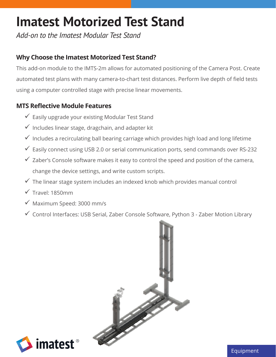## **Imatest Motorized Test Stand**

*Add-on to the Imatest Modular Test Stand*

## **Why Choose the Imatest Motorized Test Stand?**

This add-on module to the IMTS-2m allows for automated positioning of the Camera Post. Create automated test plans with many camera-to-chart test distances. Perform live depth of field tests using a computer controlled stage with precise linear movements.

## **MTS Reflective Module Features**

- $\checkmark$  Easily upgrade your existing Modular Test Stand
- $\checkmark$  Includes linear stage, dragchain, and adapter kit
- $\checkmark$  Includes a recirculating ball bearing carriage which provides high load and long lifetime
- $\checkmark$  Easily connect using USB 2.0 or serial communication ports, send commands over RS-232
- $\checkmark$  Zaber's Console software makes it easy to control the speed and position of the camera, change the device settings, and write custom scripts.
- $\checkmark$  The linear stage system includes an indexed knob which provides manual control
- $\checkmark$  Travel: 1850mm
- $\sqrt{\ }$  Maximum Speed: 3000 mm/s
- 9 Control Interfaces: USB Serial, Zaber Console Software, Python 3 Zaber Motion Library